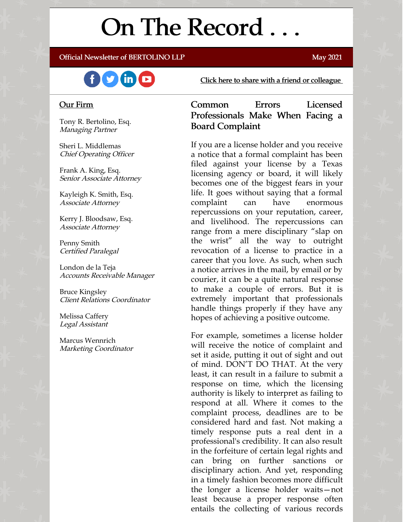# On The Record . . .

#### Official Newsletter of BERTOLINO LLP May 2021



[Click here to share with a friend or colleague](https://visitor.r20.constantcontact.com/manage/optin?v=001xvcZBIZGArRYZxP_ENhTFsnPqgcrAHF_8FAGh0C6OoU_TYzgqPeo9kiI5F5Vb-xdZP7jClYZWX2ttQp6Q7JygJ1sq0DH9MDHJwjzNoREDc4=)

#### Our Firm

Tony R. Bertolino, Esq. Managing Partner

Sheri L. Middlemas Chief Operating Officer

Frank A. King, Esq. Senior Associate Attorney

Kayleigh K. Smith, Esq. Associate Attorney

Kerry J. Bloodsaw, Esq. Associate Attorney

Penny Smith Certified Paralegal

London de la Teja Accounts Receivable Manager

Bruce Kingsley Client Relations Coordinator

Melissa Caffery Legal Assistant

Marcus Wennrich Marketing Coordinator

Common Errors Licensed Professionals Make When Facing a Board Complaint

If you are a license holder and you receive a notice that a formal complaint has been filed against your license by a Texas licensing agency or board, it will likely becomes one of the biggest fears in your life. It goes without saying that a formal complaint can have enormous repercussions on your reputation, career, and livelihood. The repercussions can range from a mere disciplinary "slap on the wrist" all the way to outright revocation of a license to practice in a career that you love. As such, when such a notice arrives in the mail, by email or by courier, it can be a quite natural response to make a couple of errors. But it is extremely important that professionals handle things properly if they have any hopes of achieving a positive outcome.

For example, sometimes a license holder will receive the notice of complaint and set it aside, putting it out of sight and out of mind. DON'T DO THAT. At the very least, it can result in a failure to submit a response on time, which the licensing authority is likely to interpret as failing to respond at all. Where it comes to the complaint process, deadlines are to be considered hard and fast. Not making a timely response puts a real dent in a professional's credibility. It can also result in the forfeiture of certain legal rights and can bring on further sanctions or disciplinary action. And yet, responding in a timely fashion becomes more difficult the longer a license holder waits—not least because a proper response often entails the collecting of various records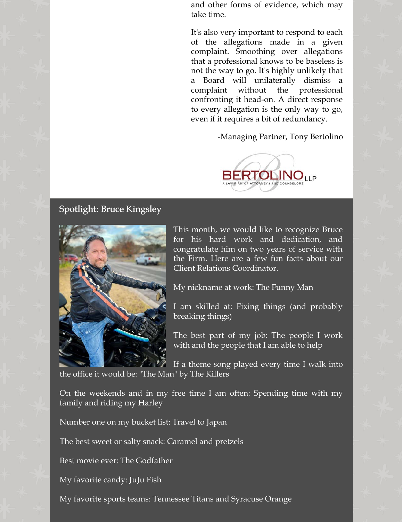and other forms of evidence, which may take time.

It's also very important to respond to each of the allegations made in a given complaint. Smoothing over allegations that a professional knows to be baseless is not the way to go. It's highly unlikely that a Board will unilaterally dismiss a complaint without the professional confronting it head-on. A direct response to every allegation is the only way to go, even if it requires a bit of redundancy.

-Managing Partner, Tony Bertolino



## Spotlight: Bruce Kingsley



This month, we would like to recognize Bruce for his hard work and dedication, and congratulate him on two years of service with the Firm. Here are a few fun facts about our Client Relations Coordinator.

My nickname at work: The Funny Man

I am skilled at: Fixing things (and probably breaking things)

The best part of my job: The people I work with and the people that I am able to help

If a theme song played every time I walk into the office it would be: "The Man" by The Killers

On the weekends and in my free time I am often: Spending time with my family and riding my Harley

Number one on my bucket list: Travel to Japan

The best sweet or salty snack: Caramel and pretzels

Best movie ever: The Godfather

My favorite candy: JuJu Fish

My favorite sports teams: Tennessee Titans and Syracuse Orange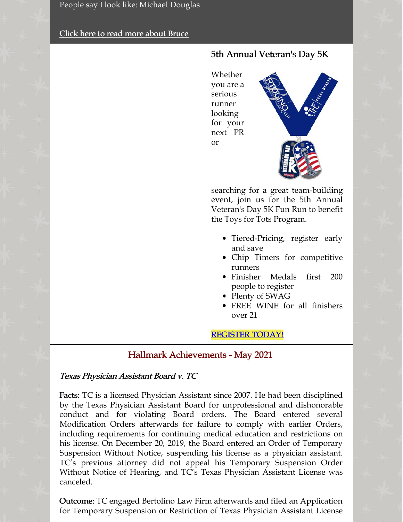People say I look like: Michael Douglas

## [Click here to read more about Bruce](https://www.belolaw.com/about/#bruce)

# 5th Annual Veteran's Day 5K

Whether you are a serious runner looking for your next PR or



searching for a great team-building event, join us for the 5th Annual Veteran's Day 5K Fun Run to benefit the Toys for Tots Program.

- Tiered-Pricing, register early and save
- Chip Timers for competitive runners
- Finisher Medals first 200 people to register
- Plenty of SWAG
- FREE WINE for all finishers over 21

## [REGISTER TODAY!](https://thefun5k.run/)

## Hallmark Achievements - May 2021

### Texas Physician Assistant Board v. TC

Facts: TC is a licensed Physician Assistant since 2007. He had been disciplined by the Texas Physician Assistant Board for unprofessional and dishonorable conduct and for violating Board orders. The Board entered several Modification Orders afterwards for failure to comply with earlier Orders, including requirements for continuing medical education and restrictions on his license. On December 20, 2019, the Board entered an Order of Temporary Suspension Without Notice, suspending his license as a physician assistant. TC's previous attorney did not appeal his Temporary Suspension Order Without Notice of Hearing, and TC's Texas Physician Assistant License was canceled.

Outcome: TC engaged Bertolino Law Firm afterwards and filed an Application for Temporary Suspension or Restriction of Texas Physician Assistant License